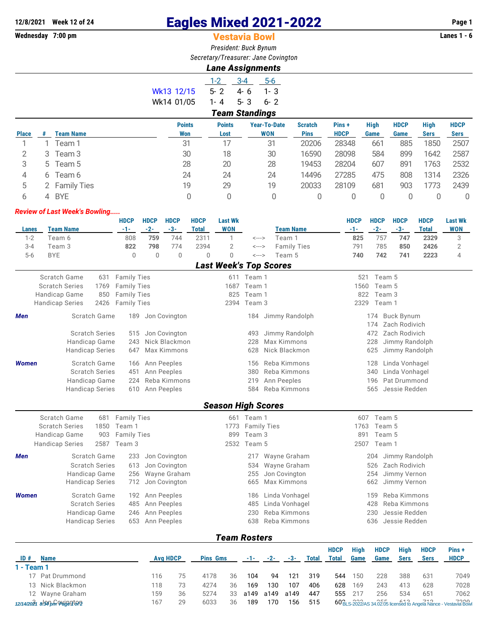# **12/8/2021 Week 12 of 24 Eagles Mixed 2021-2022 Page 1**

### **Vestavia Bowl**

*President: Buck Bynum Secretary/Treasurer: Jane Covington*

### *Lane Assignments*

|            | $1 - 2$ | $-3-4$                | 5-6     |
|------------|---------|-----------------------|---------|
| Wk13 12/15 | $5 - 2$ | 4-6                   | $1 - 3$ |
| Wk14 01/05 | 1-4     | 5-3                   | - 6- 2  |
|            |         | <b>Team Standings</b> |         |

| <b>Place</b> |    | <b>Team Name</b> | <b>Points</b><br>Won | <b>Points</b><br>Lost | <b>Year-To-Date</b><br><b>WON</b> | <b>Scratch</b><br><b>Pins</b> | Pins+<br><b>HDCP</b> | <b>High</b><br>Game | <b>HDCP</b><br>Game | <b>High</b><br><b>Sers</b> | <b>HDCP</b><br><b>Sers</b> |
|--------------|----|------------------|----------------------|-----------------------|-----------------------------------|-------------------------------|----------------------|---------------------|---------------------|----------------------------|----------------------------|
|              |    |                  |                      |                       |                                   |                               |                      |                     |                     |                            |                            |
|              |    | Team 1           | 31                   |                       | 31                                | 20206                         | 28348                | 661                 | 885                 | 1850                       | 2507                       |
|              | 3  | Team 3           | 30                   | 18                    | 30                                | 16590                         | 28098                | 584                 | 899                 | 1642                       | 2587                       |
|              |    |                  |                      |                       |                                   |                               |                      |                     |                     |                            |                            |
|              |    | 5 Team 5         | 28                   | 20                    | 28                                | 19453                         | 28204                | 607                 | 891                 | 1763                       | 2532                       |
| 4            | 6  | Team 6           | 24                   | 24                    | 24                                | 14496                         | 27285                | 475                 | 808                 | 1314                       | 2326                       |
|              |    |                  |                      |                       |                                   |                               |                      |                     |                     |                            |                            |
|              |    | 2 Family Ties    | 19                   | 29                    | 19                                | 20033                         | 28109                | 681                 | 903                 | 1773                       | 2439                       |
| b            | Δ. | <b>BYE</b>       |                      | 0                     |                                   |                               |                      |                     |                     |                            | 0                          |
|              |    |                  |                      |                       |                                   |                               |                      |                     |                     |                            |                            |

#### *Review of Last Week's Bowling.....*

|              |                        |                                         |      | <b>HDCP</b>        | <b>HDCP</b> | <b>HDCP</b>                    | <b>HDCP</b>  | <b>Last Wk</b>                |                            |                               | <b>HDCP</b> | <b>HDCP</b> | <b>HDCP</b>                      | <b>HDCP</b>  | <b>Last Wk</b> |
|--------------|------------------------|-----------------------------------------|------|--------------------|-------------|--------------------------------|--------------|-------------------------------|----------------------------|-------------------------------|-------------|-------------|----------------------------------|--------------|----------------|
| <b>Lanes</b> | <b>Team Name</b>       |                                         |      | $-1-$              | $-2-$       | $-3-$                          | <b>Total</b> | <b>WON</b>                    |                            | <b>Team Name</b>              | $-1-$       | $-2-$       | $-3-$                            | <b>Total</b> | <b>WON</b>     |
| $1 - 2$      | Team 6                 |                                         |      | 808                | 759         | 744                            | 2311         | 1                             | $\leftarrow$ $\rightarrow$ | Team 1                        | 825         | 757         | 747                              | 2329         | 3              |
| $3 - 4$      | Team 3                 |                                         |      | 822                | 798         | 774                            | 2394         | $\overline{2}$                | <--->                      | <b>Family Ties</b>            | 791         | 785         | 850                              | 2426         | $\mathbf{2}$   |
| $5-6$        | <b>BYE</b>             |                                         |      | $\Omega$           | $\Omega$    | $\mathbf 0$                    | 0            | $\overline{0}$                | <--->                      | Team 5                        | 740         | 742         | 741                              | 2223         | $\overline{4}$ |
|              |                        |                                         |      |                    |             |                                |              | <b>Last Week's Top Scores</b> |                            |                               |             |             |                                  |              |                |
|              | Scratch Game           |                                         | 631  | <b>Family Ties</b> |             |                                |              |                               | 611 Team 1                 |                               | 521         | Team 5      |                                  |              |                |
|              | <b>Scratch Series</b>  |                                         | 1769 | <b>Family Ties</b> |             |                                |              | 1687                          | Team 1                     |                               | 1560        | Team 5      |                                  |              |                |
|              | Handicap Game          |                                         | 850  | <b>Family Ties</b> |             |                                |              | 825                           | Team 1                     |                               | 822         | Team 3      |                                  |              |                |
|              | <b>Handicap Series</b> |                                         | 2426 | <b>Family Ties</b> |             |                                |              | 2394                          | Team 3                     |                               | 2329        | Team 1      |                                  |              |                |
| Men          |                        | Scratch Game                            |      | 189                |             | Jon Covington                  |              |                               | 184                        | Jimmy Randolph                |             | 174         | <b>Buck Bynum</b>                |              |                |
|              |                        |                                         |      |                    |             |                                |              |                               |                            |                               |             | 174         | Zach Rodivich<br>Zach Rodivich   |              |                |
|              |                        | <b>Scratch Series</b>                   |      | 515<br>243         |             | Jon Covington<br>Nick Blackmon |              |                               | 493<br>228                 | Jimmy Randolph<br>Max Kimmons |             | 472<br>228  |                                  |              |                |
|              |                        | Handicap Game<br><b>Handicap Series</b> |      | 647                |             | Max Kimmons                    |              |                               | 628                        | Nick Blackmon                 |             | 625         | Jimmy Randolph<br>Jimmy Randolph |              |                |
|              |                        |                                         |      |                    |             |                                |              |                               |                            |                               |             |             |                                  |              |                |
| <b>Women</b> |                        | Scratch Game                            |      | 166                |             | Ann Peeples                    |              |                               | 156                        | Reba Kimmons                  |             | 128         | Linda Vonhagel                   |              |                |
|              |                        | <b>Scratch Series</b>                   |      | 451                |             | Ann Peeples                    |              |                               | 380                        | Reba Kimmons                  |             | 340         | Linda Vonhagel                   |              |                |
|              |                        | Handicap Game                           |      | 224                |             | Reba Kimmons                   |              |                               | 219                        | Ann Peeples                   |             | 196         | Pat Drummond                     |              |                |
|              |                        | <b>Handicap Series</b>                  |      | 610                |             | Ann Peeples                    |              |                               | 584                        | Reba Kimmons                  |             | 565         | Jessie Redden                    |              |                |
|              |                        |                                         |      |                    |             |                                |              | <b>Season High Scores</b>     |                            |                               |             |             |                                  |              |                |
|              | Scratch Game           |                                         | 681  | <b>Family Ties</b> |             |                                |              |                               | 661 Team 1                 |                               | 607         | Team 5      |                                  |              |                |
|              | <b>Scratch Series</b>  |                                         | 1850 | Team 1             |             |                                |              | 1773                          | <b>Family Ties</b>         |                               | 1763        | Team 5      |                                  |              |                |
|              | Handicap Game          |                                         | 903  | <b>Family Ties</b> |             |                                |              | 899                           | Team 3                     |                               | 891         | Team 5      |                                  |              |                |
|              | <b>Handicap Series</b> |                                         | 2587 | Team 3             |             |                                |              | 2532                          | Team 5                     |                               | 2507        | Team 1      |                                  |              |                |
| Men          |                        | Scratch Game                            |      | 233                |             | Jon Covington                  |              |                               | 217                        | Wayne Graham                  |             | 204         | Jimmy Randolph                   |              |                |
|              |                        | <b>Scratch Series</b>                   |      | 613                |             | Jon Covington                  |              |                               | 534                        | Wayne Graham                  |             | 526         | Zach Rodivich                    |              |                |
|              |                        | Handicap Game                           |      | 256                |             | Wayne Graham                   |              |                               | 255                        | Jon Covington                 |             | 254         | Jimmy Vernon                     |              |                |
|              |                        | <b>Handicap Series</b>                  |      | 712                |             | Jon Covington                  |              |                               | 665                        | Max Kimmons                   |             | 662         | Jimmy Vernon                     |              |                |
| <b>Women</b> |                        | Scratch Game                            |      | 192                |             | Ann Peeples                    |              |                               | 186                        | Linda Vonhagel                |             | 159         | Reba Kimmons                     |              |                |
|              |                        | <b>Scratch Series</b>                   |      | 485                |             | Ann Peeples                    |              |                               | 485                        | Linda Vonhagel                |             | 428         | Reba Kimmons                     |              |                |
|              |                        | Handicap Game                           |      | 246                |             | Ann Peeples                    |              |                               | 230                        | Reba Kimmons                  |             | 230         | Jessie Redden                    |              |                |
|              |                        | <b>Handicap Series</b>                  |      | 653                |             | Ann Peeples                    |              |                               | 638                        | Reba Kimmons                  |             | 636         | Jessie Redden                    |              |                |
|              |                        |                                         |      |                    |             |                                |              |                               |                            |                               |             |             |                                  |              |                |

## *Team Rosters*

|              |                              |                 |    |                 |    |       |       |       |              | <b>HDCP</b> | <b>High</b> | <b>HDCP</b> | Hiah        | <b>HDCP</b> | Pins+                                                            |
|--------------|------------------------------|-----------------|----|-----------------|----|-------|-------|-------|--------------|-------------|-------------|-------------|-------------|-------------|------------------------------------------------------------------|
| ID#          | <b>Name</b>                  | <b>Avg HDCP</b> |    | <b>Pins Gms</b> |    | $-1-$ | $-2-$ | $-3-$ | <b>Total</b> | Total       | Game        | Game        | <b>Sers</b> | <b>Sers</b> | <b>HDCP</b>                                                      |
| $1 - Team 1$ |                              |                 |    |                 |    |       |       |       |              |             |             |             |             |             |                                                                  |
|              | 17 Pat Drummond              | 16              | 75 | 4178            | 36 | 104   | 94    | 121   | 319          | 544         | 150         | 228         | 388         | 631         | 7049                                                             |
|              | 13 Nick Blackmon             | 18              |    | 4274            | 36 | 169   | 130   | 107   | 406          | 628         | 169         | 243         | 413         | 628         | 7028                                                             |
|              | 12 Wayne Graham              | 159             | 36 | 5274            | 33 | a149  | a149  | a149  | 447          | 555         | 217         | 256         | 534         | 651         | 7062                                                             |
|              | 12/14/2021 8.94 bm Paye 9top | 167             | 29 | 6033            | 36 | 189   | 70    | 156   | 515          |             |             |             |             |             | 60 BLS-2022/AS 34.02.05 licensed to Angela Nance - Vestavia Bowl |